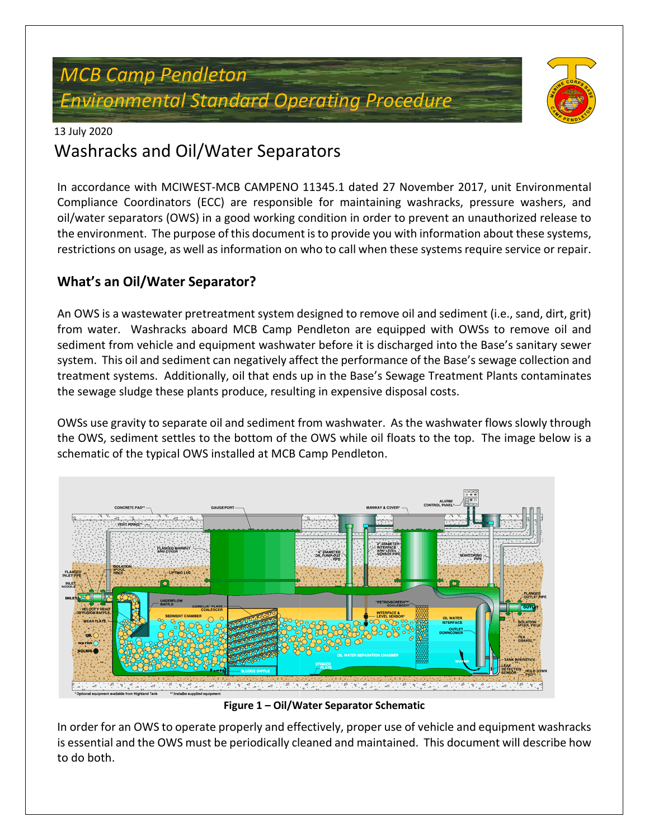# *MCB Camp Pendleton Environmental Standard Operating Procedure*



#### 13 July 2020

# Washracks and Oil/Water Separators

In accordance with MCIWEST-MCB CAMPENO 11345.1 dated 27 November 2017, unit Environmental Compliance Coordinators (ECC) are responsible for maintaining washracks, pressure washers, and oil/water separators (OWS) in a good working condition in order to prevent an unauthorized release to the environment. The purpose of this document is to provide you with information about these systems, restrictions on usage, as well as information on who to call when these systems require service or repair.

### **What's an Oil/Water Separator?**

An OWS is a wastewater pretreatment system designed to remove oil and sediment (i.e., sand, dirt, grit) from water. Washracks aboard MCB Camp Pendleton are equipped with OWSs to remove oil and sediment from vehicle and equipment washwater before it is discharged into the Base's sanitary sewer system. This oil and sediment can negatively affect the performance of the Base's sewage collection and treatment systems. Additionally, oil that ends up in the Base's Sewage Treatment Plants contaminates the sewage sludge these plants produce, resulting in expensive disposal costs.

OWSs use gravity to separate oil and sediment from washwater. As the washwater flows slowly through the OWS, sediment settles to the bottom of the OWS while oil floats to the top. The image below is a schematic of the typical OWS installed at MCB Camp Pendleton.



**Figure 1 – Oil/Water Separator Schematic**

In order for an OWS to operate properly and effectively, proper use of vehicle and equipment washracks is essential and the OWS must be periodically cleaned and maintained. This document will describe how to do both.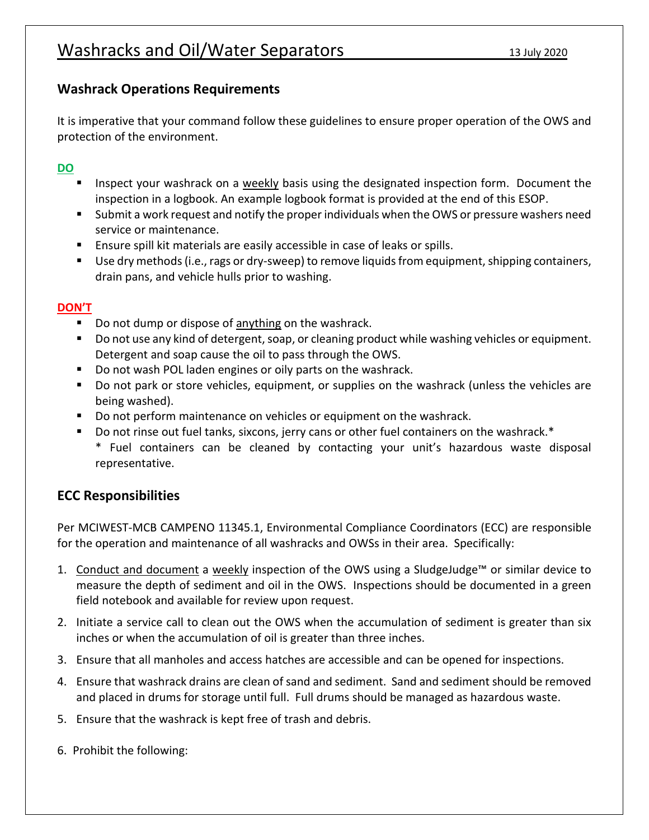### **Washrack Operations Requirements**

It is imperative that your command follow these guidelines to ensure proper operation of the OWS and protection of the environment.

#### **DO**

- Inspect your washrack on a weekly basis using the designated inspection form. Document the inspection in a logbook. An example logbook format is provided at the end of this ESOP.
- Submit a work request and notify the proper individuals when the OWS or pressure washers need service or maintenance.
- **Ensure spill kit materials are easily accessible in case of leaks or spills.**
- Use dry methods (i.e., rags or dry-sweep) to remove liquids from equipment, shipping containers, drain pans, and vehicle hulls prior to washing.

#### **DON'T**

- Do not dump or dispose of anything on the washrack.
- Do not use any kind of detergent, soap, or cleaning product while washing vehicles or equipment. Detergent and soap cause the oil to pass through the OWS.
- Do not wash POL laden engines or oily parts on the washrack.
- Do not park or store vehicles, equipment, or supplies on the washrack (unless the vehicles are being washed).
- Do not perform maintenance on vehicles or equipment on the washrack.
- Do not rinse out fuel tanks, sixcons, jerry cans or other fuel containers on the washrack.\* \* Fuel containers can be cleaned by contacting your unit's hazardous waste disposal representative.

### **ECC Responsibilities**

Per MCIWEST-MCB CAMPENO 11345.1, Environmental Compliance Coordinators (ECC) are responsible for the operation and maintenance of all washracks and OWSs in their area. Specifically:

- 1. Conduct and document a weekly inspection of the OWS using a SludgeJudge™ or similar device to measure the depth of sediment and oil in the OWS. Inspections should be documented in a green field notebook and available for review upon request.
- 2. Initiate a service call to clean out the OWS when the accumulation of sediment is greater than six inches or when the accumulation of oil is greater than three inches.
- 3. Ensure that all manholes and access hatches are accessible and can be opened for inspections.
- 4. Ensure that washrack drains are clean of sand and sediment. Sand and sediment should be removed and placed in drums for storage until full. Full drums should be managed as hazardous waste.
- 5. Ensure that the washrack is kept free of trash and debris.
- 6. Prohibit the following: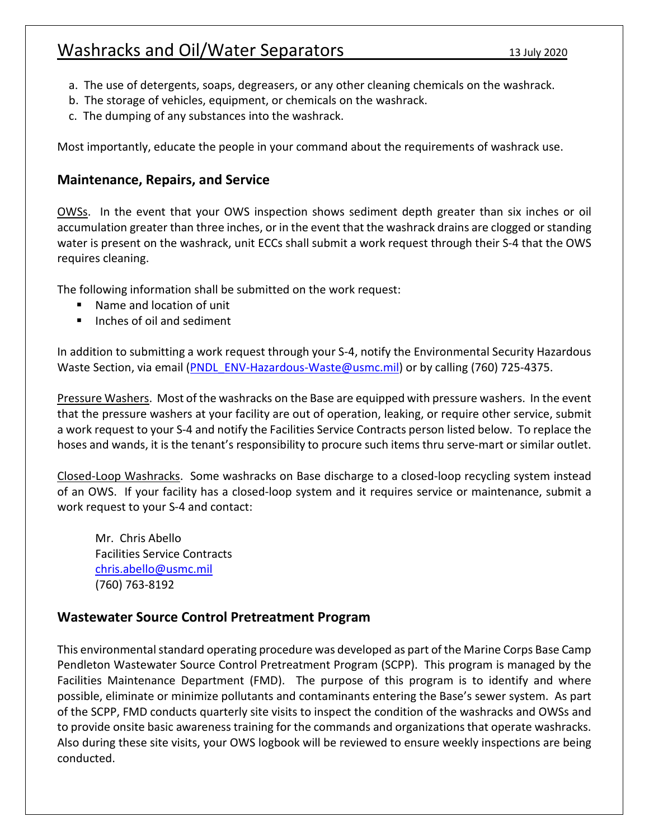## Washracks and Oil/Water Separators 13 July 2020

- a. The use of detergents, soaps, degreasers, or any other cleaning chemicals on the washrack.
- b. The storage of vehicles, equipment, or chemicals on the washrack.
- c. The dumping of any substances into the washrack.

Most importantly, educate the people in your command about the requirements of washrack use.

#### **Maintenance, Repairs, and Service**

OWSs. In the event that your OWS inspection shows sediment depth greater than six inches or oil accumulation greater than three inches, or in the event that the washrack drains are clogged or standing water is present on the washrack, unit ECCs shall submit a work request through their S-4 that the OWS requires cleaning.

The following information shall be submitted on the work request:

- Name and location of unit
- $\blacksquare$  Inches of oil and sediment

In addition to submitting a work request through your S-4, notify the Environmental Security Hazardous Waste Section, via email (PNDL ENV-Hazardous-Waste@usmc.mil) or by calling (760) 725-4375.

Pressure Washers. Most of the washracks on the Base are equipped with pressure washers. In the event that the pressure washers at your facility are out of operation, leaking, or require other service, submit a work request to your S-4 and notify the Facilities Service Contracts person listed below. To replace the hoses and wands, it is the tenant's responsibility to procure such items thru serve-mart or similar outlet.

Closed-Loop Washracks. Some washracks on Base discharge to a closed-loop recycling system instead of an OWS. If your facility has a closed-loop system and it requires service or maintenance, submit a work request to your S-4 and contact:

Mr. Chris Abello Facilities Service Contracts chris.abello@usmc.mil (760) 763-8192

#### **Wastewater Source Control Pretreatment Program**

This environmental standard operating procedure was developed as part of the Marine Corps Base Camp Pendleton Wastewater Source Control Pretreatment Program (SCPP). This program is managed by the Facilities Maintenance Department (FMD). The purpose of this program is to identify and where possible, eliminate or minimize pollutants and contaminants entering the Base's sewer system. As part of the SCPP, FMD conducts quarterly site visits to inspect the condition of the washracks and OWSs and to provide onsite basic awareness training for the commands and organizations that operate washracks. Also during these site visits, your OWS logbook will be reviewed to ensure weekly inspections are being conducted.